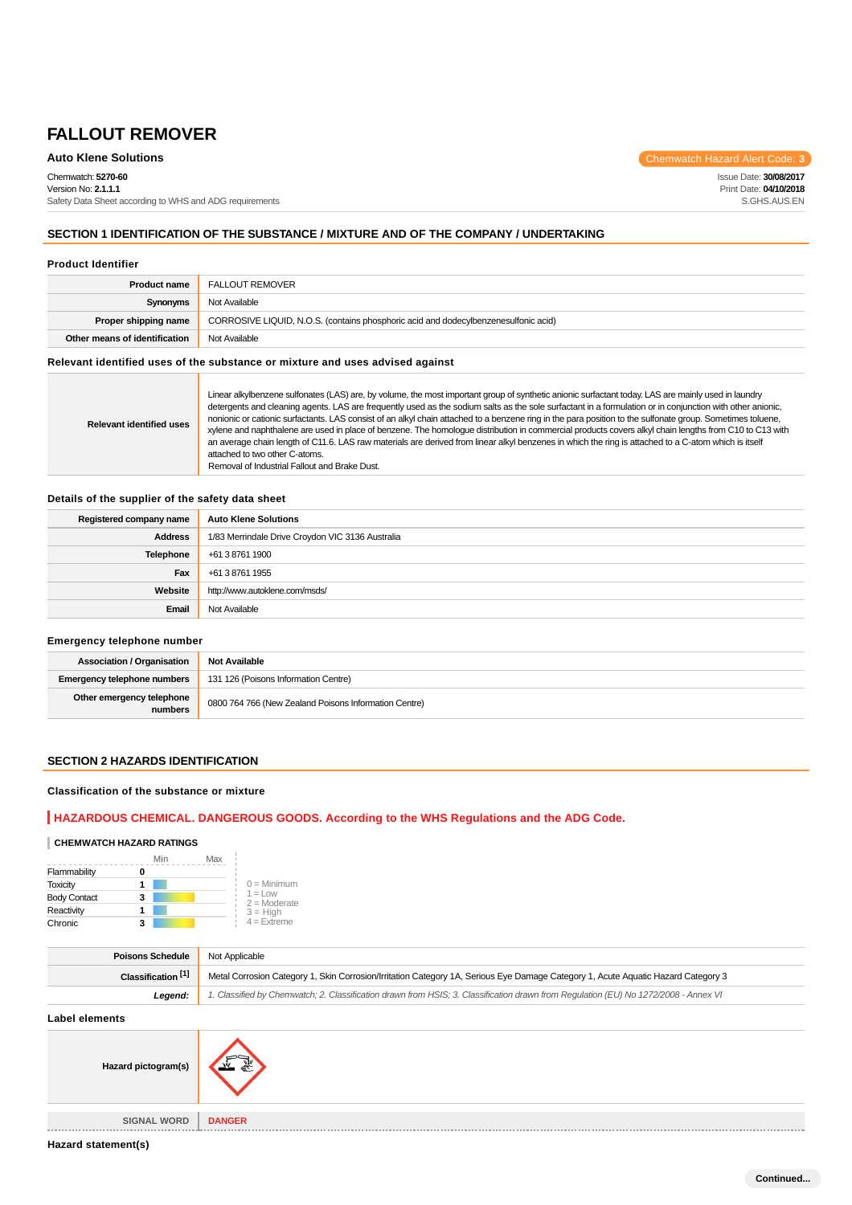Chemwatch: **5270-60**

Version No: **2.1.1.1** Safety Data Sheet according to WHS and ADG requirements

**Auto Klene Solutions** Chemwatch Hazard Alert Code: 3

Issue Date: **30/08/2017** Print Date: **04/10/2018** S.GHS.AUS.EN

# **SECTION 1 IDENTIFICATION OF THE SUBSTANCE / MIXTURE AND OF THE COMPANY / UNDERTAKING**

#### **Product Identifier**

| <b>Product name</b>           | FALLOUT REMOVER                                                                     |
|-------------------------------|-------------------------------------------------------------------------------------|
| Synonyms                      | Not Available                                                                       |
| Proper shipping name          | CORROSIVE LIQUID, N.O.S. (contains phosphoric acid and dodecylbenzenesulfonic acid) |
| Other means of identification | Not Available                                                                       |

# **Relevant identified uses of the substance or mixture and uses advised against**

| <b>Relevant identified uses</b> | Linear alkylbenzene sulfonates (LAS) are, by volume, the most important group of synthetic anionic surfactant today. LAS are mainly used in laundry<br>detergents and cleaning agents. LAS are frequently used as the sodium salts as the sole surfactant in a formulation or in conjunction with other anionic,<br>nonionic or cationic surfactants. LAS consist of an alkyl chain attached to a benzene ring in the para position to the sulfonate group. Sometimes toluene,<br>xylene and naphthalene are used in place of benzene. The homologue distribution in commercial products covers alkyl chain lengths from C10 to C13 with<br>an average chain length of C11.6. LAS raw materials are derived from linear alkyl benzenes in which the ring is attached to a C-atom which is itself<br>attached to two other C-atoms.<br>Removal of Industrial Fallout and Brake Dust. |
|---------------------------------|-------------------------------------------------------------------------------------------------------------------------------------------------------------------------------------------------------------------------------------------------------------------------------------------------------------------------------------------------------------------------------------------------------------------------------------------------------------------------------------------------------------------------------------------------------------------------------------------------------------------------------------------------------------------------------------------------------------------------------------------------------------------------------------------------------------------------------------------------------------------------------------|
|---------------------------------|-------------------------------------------------------------------------------------------------------------------------------------------------------------------------------------------------------------------------------------------------------------------------------------------------------------------------------------------------------------------------------------------------------------------------------------------------------------------------------------------------------------------------------------------------------------------------------------------------------------------------------------------------------------------------------------------------------------------------------------------------------------------------------------------------------------------------------------------------------------------------------------|

### **Details of the supplier of the safety data sheet**

| Registered company name | <b>Auto Klene Solutions</b>                      |
|-------------------------|--------------------------------------------------|
| Address                 | 1/83 Merrindale Drive Croydon VIC 3136 Australia |
| Telephone               | +61 3 8761 1900                                  |
| Fax                     | +61 3 8761 1955                                  |
| Website                 | http://www.autoklene.com/msds/                   |
| Email                   | Not Available                                    |

# **Emergency telephone number**

| <b>Association / Organisation</b>    | <b>Not Available</b>                                  |
|--------------------------------------|-------------------------------------------------------|
| <b>Emergency telephone numbers</b>   | 131 126 (Poisons Information Centre)                  |
| Other emergency telephone<br>numbers | 0800 764 766 (New Zealand Poisons Information Centre) |

# **SECTION 2 HAZARDS IDENTIFICATION**

### **Classification of the substance or mixture**

# **HAZARDOUS CHEMICAL. DANGEROUS GOODS. According to the WHS Regulations and the ADG Code.**

#### **CHEMWATCH HAZARD RATINGS**

|                     | Min | Max |                              |
|---------------------|-----|-----|------------------------------|
| Flammability        | Ω   |     |                              |
| <b>Toxicity</b>     |     |     | $0 =$ Minimum                |
| <b>Body Contact</b> | 3   |     | $1 = 1$ OW<br>$2 =$ Moderate |
| Reactivity          |     |     | $3 = High$                   |
| Chronic             |     |     | $4 =$ Extreme                |

| <b>Poisons Schedule</b>       | Not Applicable                                                                                                                      |
|-------------------------------|-------------------------------------------------------------------------------------------------------------------------------------|
| Classification <sup>[1]</sup> | Metal Corrosion Category 1, Skin Corrosion/Irritation Category 1A, Serious Eye Damage Category 1, Acute Aquatic Hazard Category 3   |
| Leaend:                       | 1. Classified by Chemwatch; 2. Classification drawn from HSIS; 3. Classification drawn from Requlation (EU) No 1272/2008 - Annex VI |

#### **Label elements**

| Hazard pictogram(s) | 斋             |
|---------------------|---------------|
| <b>SIGNAL WORD</b>  | <b>DANGER</b> |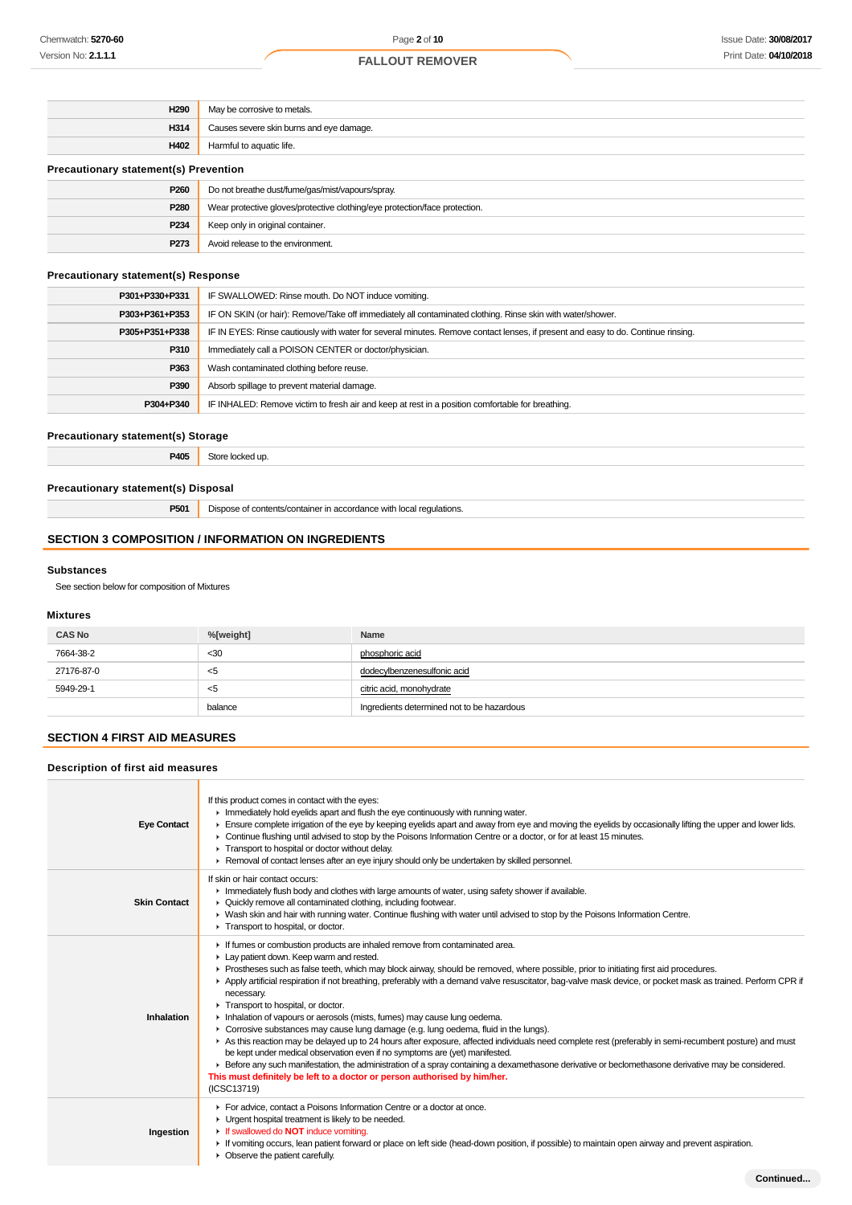| H290                                         | May be corrosive to metals.                                                |
|----------------------------------------------|----------------------------------------------------------------------------|
| H314                                         | Causes severe skin burns and eye damage.                                   |
| H402                                         | Harmful to aquatic life.                                                   |
| <b>Precautionary statement(s) Prevention</b> |                                                                            |
| P <sub>260</sub>                             | Do not breathe dust/fume/gas/mist/vapours/spray.                           |
| P280                                         | Wear protective gloves/protective clothing/eye protection/face protection. |
| P <sub>234</sub>                             | Keep only in original container.                                           |

# **Precautionary statement(s) Response**

| P301+P330+P331 | IF SWALLOWED: Rinse mouth. Do NOT induce vomiting.                                                                               |
|----------------|----------------------------------------------------------------------------------------------------------------------------------|
| P303+P361+P353 | IF ON SKIN (or hair): Remove/Take off immediately all contaminated clothing. Rinse skin with water/shower.                       |
| P305+P351+P338 | IF IN EYES: Rinse cautiously with water for several minutes. Remove contact lenses, if present and easy to do. Continue rinsing. |
| P310           | Immediately call a POISON CENTER or doctor/physician.                                                                            |
| P363           | Wash contaminated clothing before reuse.                                                                                         |
| P390           | Absorb spillage to prevent material damage.                                                                                      |
| P304+P340      | IF INHALED: Remove victim to fresh air and keep at rest in a position comfortable for breathing.                                 |

### **Precautionary statement(s) Storage**

**P405** Store locked up.

**P273** Avoid release to the environment.

### **Precautionary statement(s) Disposal**

**P501** Dispose of contents/container in accordance with local regulations.

# **SECTION 3 COMPOSITION / INFORMATION ON INGREDIENTS**

### **Substances**

See section below for composition of Mixtures

### **Mixtures**

| <b>CAS No</b> | %[weight] | Name                                       |
|---------------|-----------|--------------------------------------------|
| 7664-38-2     | $30$      | phosphoric acid                            |
| 27176-87-0    | $<$ 5     | dodecylbenzenesulfonic acid                |
| 5949-29-1     | $<$ 5     | citric acid, monohydrate                   |
|               | balance   | Ingredients determined not to be hazardous |

### **SECTION 4 FIRST AID MEASURES**

### **Description of first aid measures**

| <b>Eye Contact</b>  | If this product comes in contact with the eyes:<br>Inmediately hold eyelids apart and flush the eye continuously with running water.<br>Ensure complete irrigation of the eye by keeping eyelids apart and away from eye and moving the eyelids by occasionally lifting the upper and lower lids.<br>► Continue flushing until advised to stop by the Poisons Information Centre or a doctor, or for at least 15 minutes.<br>Transport to hospital or doctor without delay.<br>► Removal of contact lenses after an eye injury should only be undertaken by skilled personnel.                                                                                                                                                                                                                                                                                                                                                                                                                                                                                                                                                                       |
|---------------------|------------------------------------------------------------------------------------------------------------------------------------------------------------------------------------------------------------------------------------------------------------------------------------------------------------------------------------------------------------------------------------------------------------------------------------------------------------------------------------------------------------------------------------------------------------------------------------------------------------------------------------------------------------------------------------------------------------------------------------------------------------------------------------------------------------------------------------------------------------------------------------------------------------------------------------------------------------------------------------------------------------------------------------------------------------------------------------------------------------------------------------------------------|
| <b>Skin Contact</b> | If skin or hair contact occurs:<br>Immediately flush body and clothes with large amounts of water, using safety shower if available.<br>• Quickly remove all contaminated clothing, including footwear.<br>► Wash skin and hair with running water. Continue flushing with water until advised to stop by the Poisons Information Centre.<br>Transport to hospital, or doctor.                                                                                                                                                                                                                                                                                                                                                                                                                                                                                                                                                                                                                                                                                                                                                                       |
| Inhalation          | If fumes or combustion products are inhaled remove from contaminated area.<br>Lay patient down. Keep warm and rested.<br>► Prostheses such as false teeth, which may block airway, should be removed, where possible, prior to initiating first aid procedures.<br>▶ Apply artificial respiration if not breathing, preferably with a demand valve resuscitator, bag-valve mask device, or pocket mask as trained. Perform CPR if<br>necessary.<br>Transport to hospital, or doctor.<br>Inhalation of vapours or aerosols (mists, fumes) may cause lung oedema.<br>• Corrosive substances may cause lung damage (e.g. lung oedema, fluid in the lungs).<br>As this reaction may be delayed up to 24 hours after exposure, affected individuals need complete rest (preferably in semi-recumbent posture) and must<br>be kept under medical observation even if no symptoms are (yet) manifested.<br>Exercise any such manifestation, the administration of a spray containing a dexamethasone derivative or beclomethasone derivative may be considered.<br>This must definitely be left to a doctor or person authorised by him/her.<br>(ICSC13719) |
| Ingestion           | For advice, contact a Poisons Information Centre or a doctor at once.<br>• Urgent hospital treatment is likely to be needed.<br>If swallowed do <b>NOT</b> induce vomiting.<br>If vomiting occurs, lean patient forward or place on left side (head-down position, if possible) to maintain open airway and prevent aspiration.<br>• Observe the patient carefully.                                                                                                                                                                                                                                                                                                                                                                                                                                                                                                                                                                                                                                                                                                                                                                                  |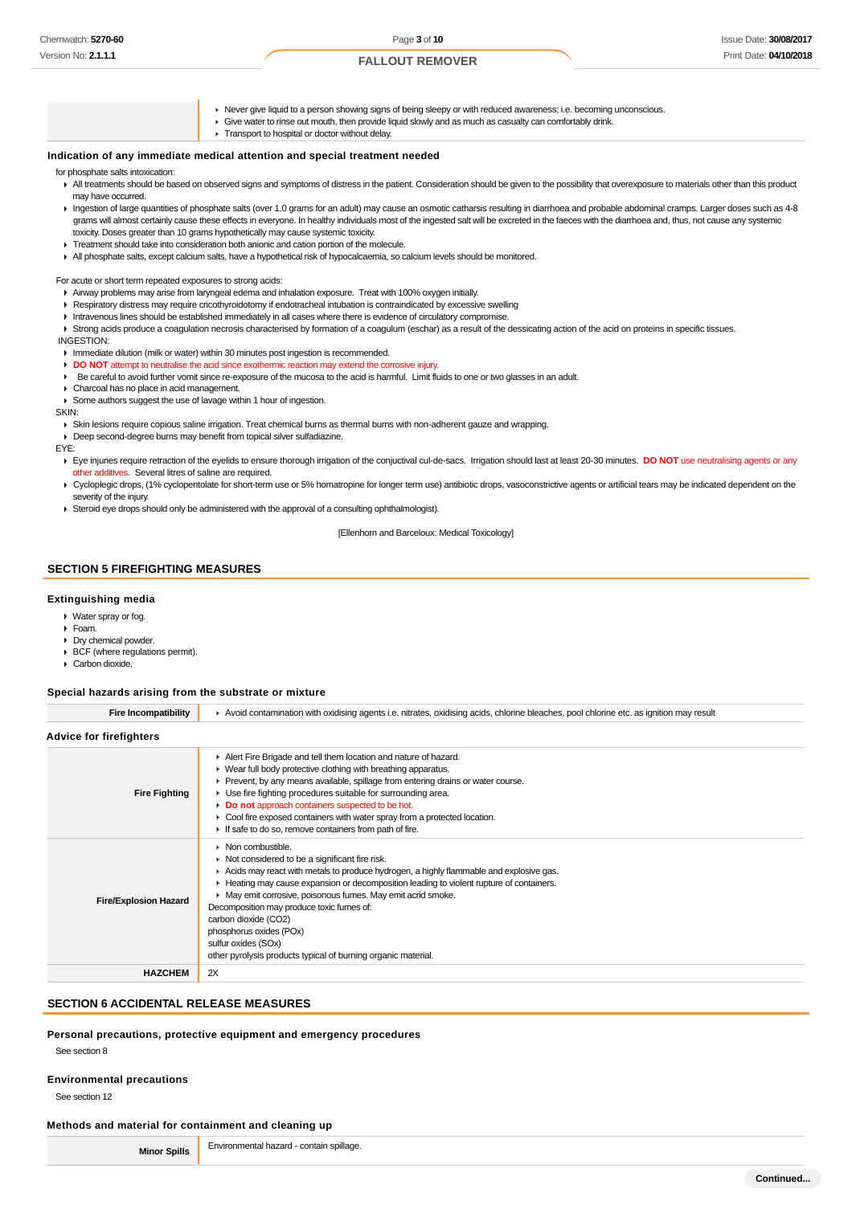- Never give liquid to a person showing signs of being sleepy or with reduced awareness; i.e. becoming unconscious.
- Give water to rinse out mouth, then provide liquid slowly and as much as casualty can comfortably drink.
- **F** Transport to hospital or doctor without delay.

#### **Indication of any immediate medical attention and special treatment needed**

#### for phosphate salts intoxication:

- All treatments should be based on observed signs and symptoms of distress in the patient. Consideration should be given to the possibility that overexposure to materials other than this product may have occurred.
- Ingestion of large quantities of phosphate salts (over 1.0 grams for an adult) may cause an osmotic catharsis resulting in diarrhoea and probable abdominal cramps. Larger doses such as 4-8 grams will almost certainly cause these effects in everyone. In healthy individuals most of the ingested salt will be excreted in the faeces with the diarrhoea and, thus, not cause any systemic toxicity. Doses greater than 10 grams hypothetically may cause systemic toxicity.
- Treatment should take into consideration both anionic and cation portion of the molecule.
- All phosphate salts, except calcium salts, have a hypothetical risk of hypocalcaemia, so calcium levels should be monitored.

For acute or short term repeated exposures to strong acids:

- Airway problems may arise from laryngeal edema and inhalation exposure. Treat with 100% oxygen initially.
- Respiratory distress may require cricothyroidotomy if endotracheal intubation is contraindicated by excessive swelling
- Intravenous lines should be established immediately in all cases where there is evidence of circulatory compromise.

▶ Strong acids produce a coagulation necrosis characterised by formation of a coagulum (eschar) as a result of the dessicating action of the acid on proteins in specific tissues. INGESTION:

- **Immediate dilution (milk or water) within 30 minutes post ingestion is recommended.**
- **DO NOT** attempt to neutralise the acid since exothermic reaction may extend the corrosive injury.
- Be careful to avoid further vomit since re-exposure of the mucosa to the acid is harmful. Limit fluids to one or two glasses in an adult.
- Charcoal has no place in acid management.
- Some authors suggest the use of lavage within 1 hour of ingestion.

**SKIN** 

Skin lesions require copious saline irrigation. Treat chemical burns as thermal burns with non-adherent gauze and wrapping.

Deep second-degree burns may benefit from topical silver sulfadiazine.

EYE:

- Eye injuries require retraction of the eyelids to ensure thorough irrigation of the conjuctival cul-de-sacs. Irrigation should last at least 20-30 minutes. **DO NOT** use neutralising agents or any other additives. Several litres of saline are required.
- ▶ Cycloplegic drops, (1% cyclopentolate for short-term use or 5% homatropine for longer term use) antibiotic drops, vasoconstrictive agents or artificial tears may be indicated dependent on the severity of the injury.
- Steroid eye drops should only be administered with the approval of a consulting ophthalmologist).

[Ellenhorn and Barceloux: Medical Toxicology]

### **SECTION 5 FIREFIGHTING MEASURES**

#### **Extinguishing media**

- Water spray or fog.
- Foam.
- Drv chemical powder.
- ▶ BCF (where regulations permit).
- Carbon dioxide.

#### **Special hazards arising from the substrate or mixture**

| <b>Fire Incompatibility</b>    | Avoid contamination with oxidising agents i.e. nitrates, oxidising acids, chlorine bleaches, pool chlorine etc. as ignition may result                                                                                                                                                                                                                                                                                                                                                                                                          |
|--------------------------------|-------------------------------------------------------------------------------------------------------------------------------------------------------------------------------------------------------------------------------------------------------------------------------------------------------------------------------------------------------------------------------------------------------------------------------------------------------------------------------------------------------------------------------------------------|
| <b>Advice for firefighters</b> |                                                                                                                                                                                                                                                                                                                                                                                                                                                                                                                                                 |
| <b>Fire Fighting</b>           | Alert Fire Brigade and tell them location and nature of hazard.<br>▶ Wear full body protective clothing with breathing apparatus.<br>► Prevent, by any means available, spillage from entering drains or water course.<br>► Use fire fighting procedures suitable for surrounding area.<br>Do not approach containers suspected to be hot.<br>► Cool fire exposed containers with water spray from a protected location.<br>If safe to do so, remove containers from path of fire.                                                              |
| <b>Fire/Explosion Hazard</b>   | $\triangleright$ Non combustible.<br>$\triangleright$ Not considered to be a significant fire risk.<br>Acids may react with metals to produce hydrogen, a highly flammable and explosive gas.<br>► Heating may cause expansion or decomposition leading to violent rupture of containers.<br>May emit corrosive, poisonous fumes. May emit acrid smoke.<br>Decomposition may produce toxic fumes of:<br>carbon dioxide (CO2)<br>phosphorus oxides (POx)<br>sulfur oxides (SOx)<br>other pyrolysis products typical of burning organic material. |
| <b>HAZCHEM</b>                 | 2X                                                                                                                                                                                                                                                                                                                                                                                                                                                                                                                                              |

### **SECTION 6 ACCIDENTAL RELEASE MEASURES**

#### **Personal precautions, protective equipment and emergency procedures**

See section 8

#### **Environmental precautions**

See section 12

#### **Methods and material for containment and cleaning up**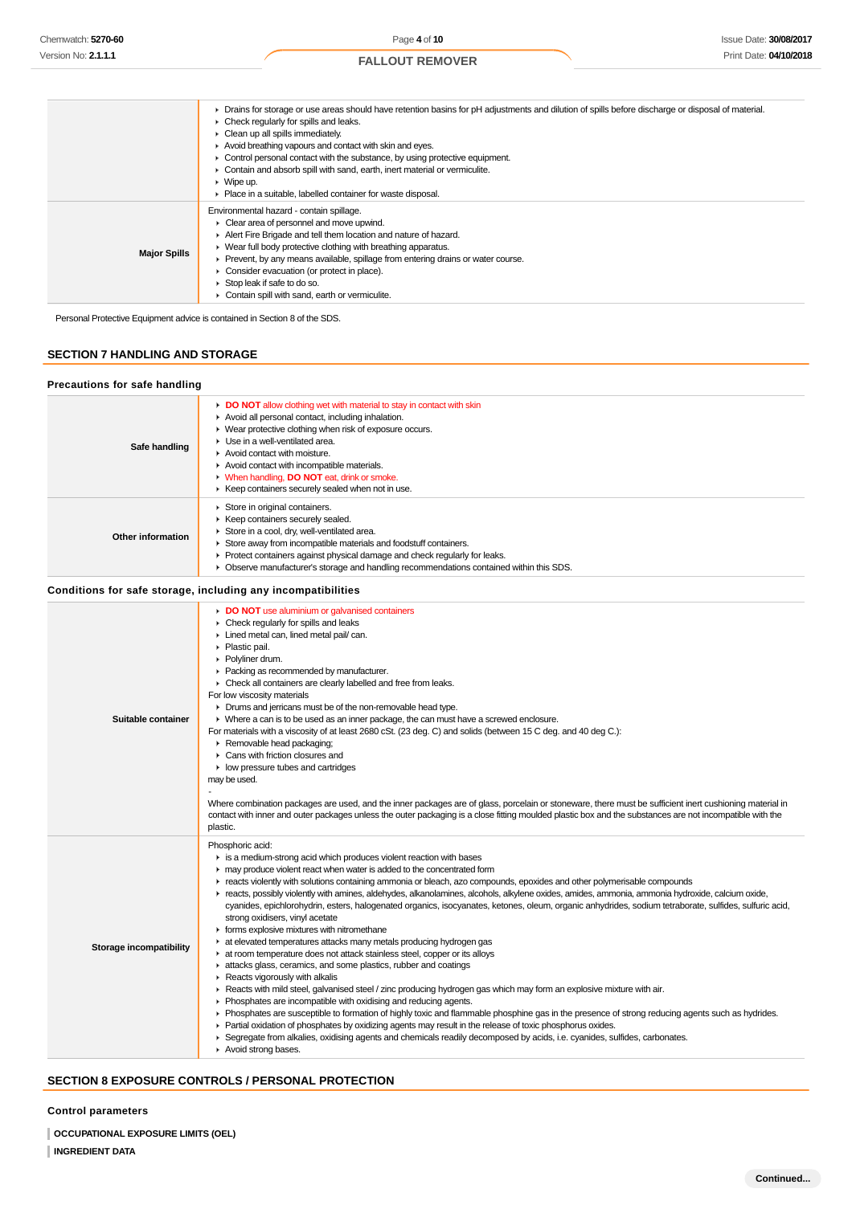|                     | > Drains for storage or use areas should have retention basins for pH adjustments and dilution of spills before discharge or disposal of material.<br>$\triangleright$ Check regularly for spills and leaks.<br>$\triangleright$ Clean up all spills immediately.<br>Avoid breathing vapours and contact with skin and eyes.<br>• Control personal contact with the substance, by using protective equipment.<br>Contain and absorb spill with sand, earth, inert material or vermiculite.<br>$\triangleright$ Wipe up.<br>• Place in a suitable, labelled container for waste disposal. |
|---------------------|------------------------------------------------------------------------------------------------------------------------------------------------------------------------------------------------------------------------------------------------------------------------------------------------------------------------------------------------------------------------------------------------------------------------------------------------------------------------------------------------------------------------------------------------------------------------------------------|
| <b>Major Spills</b> | Environmental hazard - contain spillage.<br>• Clear area of personnel and move upwind.<br>Alert Fire Brigade and tell them location and nature of hazard.<br>• Wear full body protective clothing with breathing apparatus.<br>• Prevent, by any means available, spillage from entering drains or water course.<br>• Consider evacuation (or protect in place).<br>$\triangleright$ Stop leak if safe to do so.<br>Contain spill with sand, earth or vermiculite.                                                                                                                       |

Personal Protective Equipment advice is contained in Section 8 of the SDS.

# **SECTION 7 HANDLING AND STORAGE**

| <b>Precautions for safe handling</b> |                                                                                                                                                                                                                                                                                                                                                                                                                                                                                                                                                                                                                                                                                                                                                                                                                                                                                                                                                                                                                                                                                                                                                                                                                                                                                                                                                                                                                                                                                                                                                                                                         |
|--------------------------------------|---------------------------------------------------------------------------------------------------------------------------------------------------------------------------------------------------------------------------------------------------------------------------------------------------------------------------------------------------------------------------------------------------------------------------------------------------------------------------------------------------------------------------------------------------------------------------------------------------------------------------------------------------------------------------------------------------------------------------------------------------------------------------------------------------------------------------------------------------------------------------------------------------------------------------------------------------------------------------------------------------------------------------------------------------------------------------------------------------------------------------------------------------------------------------------------------------------------------------------------------------------------------------------------------------------------------------------------------------------------------------------------------------------------------------------------------------------------------------------------------------------------------------------------------------------------------------------------------------------|
| Safe handling                        | DO NOT allow clothing wet with material to stay in contact with skin<br>Avoid all personal contact, including inhalation.<br>• Wear protective clothing when risk of exposure occurs.<br>Use in a well-ventilated area.<br>Avoid contact with moisture.<br>Avoid contact with incompatible materials.<br>V When handling, DO NOT eat, drink or smoke.<br>▶ Keep containers securely sealed when not in use.                                                                                                                                                                                                                                                                                                                                                                                                                                                                                                                                                                                                                                                                                                                                                                                                                                                                                                                                                                                                                                                                                                                                                                                             |
| Other information                    | Store in original containers.<br>▶ Keep containers securely sealed.<br>Store in a cool, dry, well-ventilated area.<br>Store away from incompatible materials and foodstuff containers.<br>• Protect containers against physical damage and check regularly for leaks.<br>• Observe manufacturer's storage and handling recommendations contained within this SDS.                                                                                                                                                                                                                                                                                                                                                                                                                                                                                                                                                                                                                                                                                                                                                                                                                                                                                                                                                                                                                                                                                                                                                                                                                                       |
|                                      | Conditions for safe storage, including any incompatibilities                                                                                                                                                                                                                                                                                                                                                                                                                                                                                                                                                                                                                                                                                                                                                                                                                                                                                                                                                                                                                                                                                                                                                                                                                                                                                                                                                                                                                                                                                                                                            |
| Suitable container                   | DO NOT use aluminium or galvanised containers<br>• Check regularly for spills and leaks<br>Lined metal can, lined metal pail/can.<br>▶ Plastic pail.<br>▶ Polyliner drum.<br>Packing as recommended by manufacturer.<br>• Check all containers are clearly labelled and free from leaks.<br>For low viscosity materials<br>• Drums and jerricans must be of the non-removable head type.<br>• Where a can is to be used as an inner package, the can must have a screwed enclosure.<br>For materials with a viscosity of at least 2680 cSt. (23 deg. C) and solids (between 15 C deg. and 40 deg C.):<br>Removable head packaging;<br>▶ Cans with friction closures and<br>• low pressure tubes and cartridges<br>may be used.<br>Where combination packages are used, and the inner packages are of glass, porcelain or stoneware, there must be sufficient inert cushioning material in<br>contact with inner and outer packages unless the outer packaging is a close fitting moulded plastic box and the substances are not incompatible with the<br>plastic.                                                                                                                                                                                                                                                                                                                                                                                                                                                                                                                                       |
| Storage incompatibility              | Phosphoric acid:<br>is a medium-strong acid which produces violent reaction with bases<br>may produce violent react when water is added to the concentrated form<br>F reacts violently with solutions containing ammonia or bleach, azo compounds, epoxides and other polymerisable compounds<br>F reacts, possibly violently with amines, aldehydes, alkanolamines, alcohols, alkylene oxides, amides, ammonia, ammonia hydroxide, calcium oxide,<br>cyanides, epichlorohydrin, esters, halogenated organics, isocyanates, ketones, oleum, organic anhydrides, sodium tetraborate, sulfides, sulfuric acid,<br>strong oxidisers, vinyl acetate<br>• forms explosive mixtures with nitromethane<br>at elevated temperatures attacks many metals producing hydrogen gas<br>at room temperature does not attack stainless steel, copper or its alloys<br>attacks glass, ceramics, and some plastics, rubber and coatings<br>$\blacktriangleright$ Reacts vigorously with alkalis<br>▶ Reacts with mild steel, galvanised steel / zinc producing hydrogen gas which may form an explosive mixture with air.<br>• Phosphates are incompatible with oxidising and reducing agents.<br>▶ Phosphates are susceptible to formation of highly toxic and flammable phosphine gas in the presence of strong reducing agents such as hydrides.<br>• Partial oxidation of phosphates by oxidizing agents may result in the release of toxic phosphorus oxides.<br>▶ Segregate from alkalies, oxidising agents and chemicals readily decomposed by acids, i.e. cyanides, sulfides, carbonates.<br>Avoid strong bases. |

# **SECTION 8 EXPOSURE CONTROLS / PERSONAL PROTECTION**

**Control parameters**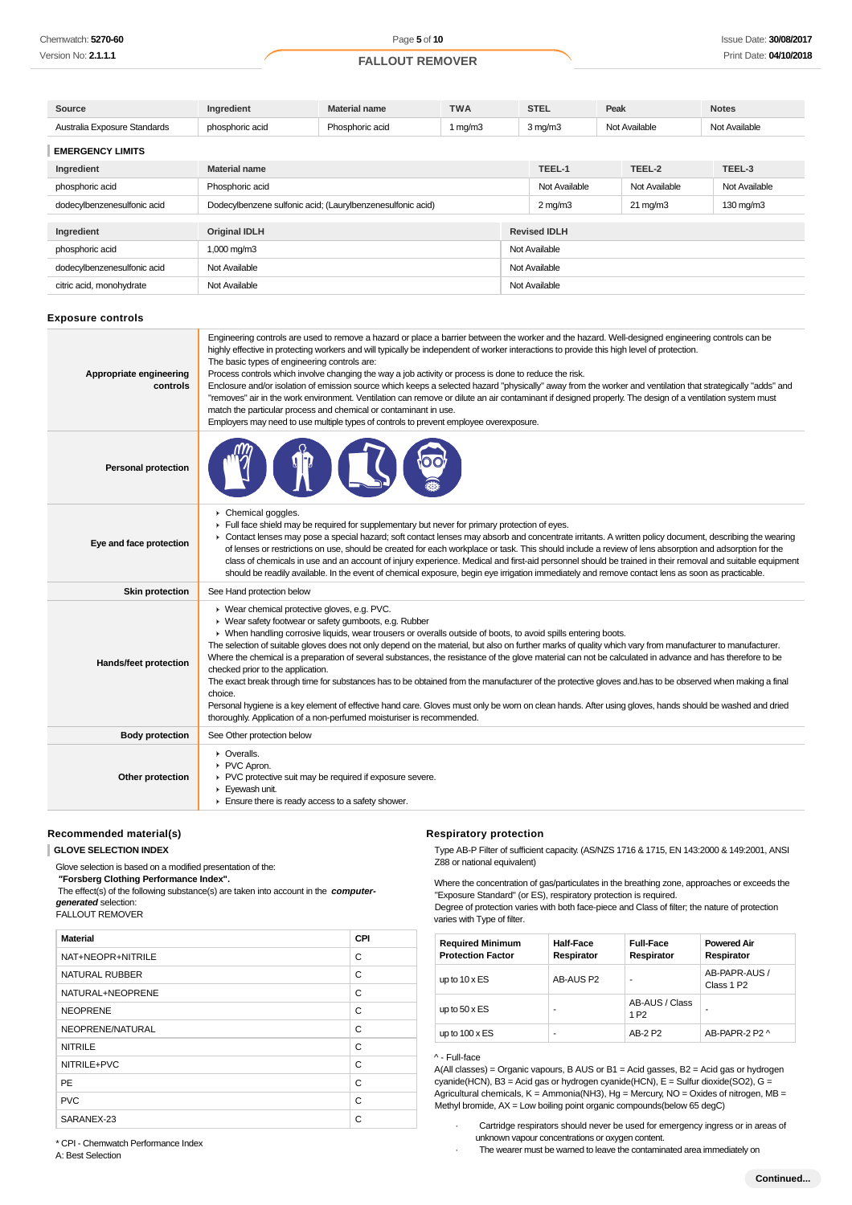| Source                                                    | Ingredient                                                 | Material name   | <b>TWA</b> |               | <b>STEL</b>                           | Peak |               | <b>Notes</b>  |  |
|-----------------------------------------------------------|------------------------------------------------------------|-----------------|------------|---------------|---------------------------------------|------|---------------|---------------|--|
| Australia Exposure Standards                              | phosphoric acid                                            | Phosphoric acid | 1 $mq/m3$  |               | $3 \,\mathrm{mq/m}$                   |      | Not Available | Not Available |  |
| <b>EMERGENCY LIMITS</b>                                   |                                                            |                 |            |               |                                       |      |               |               |  |
| Ingredient                                                | <b>Material name</b>                                       |                 |            |               |                                       |      | TEEL-2        | TEEL-3        |  |
| phosphoric acid                                           | Phosphoric acid                                            |                 |            |               | Not Available                         |      | Not Available | Not Available |  |
| dodecylbenzenesulfonic acid                               | Dodecylbenzene sulfonic acid; (Laurylbenzenesulfonic acid) |                 |            |               | $2 \text{ mg/m}$<br>$21 \text{ mg/m}$ |      |               | 130 mg/m3     |  |
| <b>Revised IDLH</b><br><b>Original IDLH</b><br>Ingredient |                                                            |                 |            |               |                                       |      |               |               |  |
| phosphoric acid                                           | $1,000 \,\mathrm{mg/m}$                                    |                 |            |               | Not Available                         |      |               |               |  |
|                                                           |                                                            |                 |            |               |                                       |      |               |               |  |
| dodecylbenzenesulfonic acid                               | Not Available                                              |                 |            | Not Available |                                       |      |               |               |  |
| citric acid, monohydrate                                  | Not Available                                              |                 |            |               | Not Available                         |      |               |               |  |

#### **Exposure controls**

| Appropriate engineering<br>controls | Engineering controls are used to remove a hazard or place a barrier between the worker and the hazard. Well-designed engineering controls can be<br>highly effective in protecting workers and will typically be independent of worker interactions to provide this high level of protection.<br>The basic types of engineering controls are:<br>Process controls which involve changing the way a job activity or process is done to reduce the risk.<br>Enclosure and/or isolation of emission source which keeps a selected hazard "physically" away from the worker and ventilation that strategically "adds" and<br>"removes" air in the work environment. Ventilation can remove or dilute an air contaminant if designed properly. The design of a ventilation system must<br>match the particular process and chemical or contaminant in use.<br>Employers may need to use multiple types of controls to prevent employee overexposure.                                                  |
|-------------------------------------|--------------------------------------------------------------------------------------------------------------------------------------------------------------------------------------------------------------------------------------------------------------------------------------------------------------------------------------------------------------------------------------------------------------------------------------------------------------------------------------------------------------------------------------------------------------------------------------------------------------------------------------------------------------------------------------------------------------------------------------------------------------------------------------------------------------------------------------------------------------------------------------------------------------------------------------------------------------------------------------------------|
| <b>Personal protection</b>          |                                                                                                                                                                                                                                                                                                                                                                                                                                                                                                                                                                                                                                                                                                                                                                                                                                                                                                                                                                                                  |
| Eye and face protection             | Chemical goggles.<br>Full face shield may be required for supplementary but never for primary protection of eyes.<br>• Contact lenses may pose a special hazard; soft contact lenses may absorb and concentrate irritants. A written policy document, describing the wearing<br>of lenses or restrictions on use, should be created for each workplace or task. This should include a review of lens absorption and adsorption for the<br>class of chemicals in use and an account of injury experience. Medical and first-aid personnel should be trained in their removal and suitable equipment<br>should be readily available. In the event of chemical exposure, begin eye irrigation immediately and remove contact lens as soon as practicable.                                                                                                                                                                                                                                           |
| <b>Skin protection</b>              | See Hand protection below                                                                                                                                                                                                                                                                                                                                                                                                                                                                                                                                                                                                                                                                                                                                                                                                                                                                                                                                                                        |
| Hands/feet protection               | ▶ Wear chemical protective gloves, e.g. PVC.<br>▶ Wear safety footwear or safety gumboots, e.g. Rubber<br>▶ When handling corrosive liquids, wear trousers or overalls outside of boots, to avoid spills entering boots.<br>The selection of suitable gloves does not only depend on the material, but also on further marks of quality which vary from manufacturer to manufacturer.<br>Where the chemical is a preparation of several substances, the resistance of the glove material can not be calculated in advance and has therefore to be<br>checked prior to the application.<br>The exact break through time for substances has to be obtained from the manufacturer of the protective gloves and has to be observed when making a final<br>choice.<br>Personal hygiene is a key element of effective hand care. Gloves must only be wom on clean hands. After using gloves, hands should be washed and dried<br>thoroughly. Application of a non-perfumed moisturiser is recommended. |
| <b>Body protection</b>              | See Other protection below                                                                                                                                                                                                                                                                                                                                                                                                                                                                                                                                                                                                                                                                                                                                                                                                                                                                                                                                                                       |
| Other protection                    | • Overalls.<br>PVC Apron.<br>▶ PVC protective suit may be required if exposure severe.<br>$\blacktriangleright$ Evewash unit.<br>Ensure there is ready access to a safety shower.                                                                                                                                                                                                                                                                                                                                                                                                                                                                                                                                                                                                                                                                                                                                                                                                                |

#### **Recommended material(s)**

**GLOVE SELECTION INDEX**

Glove selection is based on a modified presentation of the:

 **"Forsberg Clothing Performance Index".**

 The effect(s) of the following substance(s) are taken into account in the **computergenerated** selection:

### FALLOUT REMOVER

| <b>Material</b>       | CPI |
|-----------------------|-----|
| NAT+NEOPR+NITRILE     | C   |
| <b>NATURAL RUBBER</b> | C   |
| NATURAL+NEOPRENE      | C   |
| <b>NEOPRENE</b>       | C   |
| NEOPRENE/NATURAL      | C   |
| <b>NITRILE</b>        | C   |
| NITRILE+PVC           | C   |
| PE                    | C   |
| <b>PVC</b>            | C   |
| SARANEX-23            | C   |

# **Respiratory protection**

Type AB-P Filter of sufficient capacity. (AS/NZS 1716 & 1715, EN 143:2000 & 149:2001, ANSI Z88 or national equivalent)

Where the concentration of gas/particulates in the breathing zone, approaches or exceeds the "Exposure Standard" (or ES), respiratory protection is required.

Degree of protection varies with both face-piece and Class of filter; the nature of protection varies with Type of filter.

| <b>Required Minimum</b><br><b>Protection Factor</b> | <b>Half-Face</b><br>Respirator | <b>Full-Face</b><br>Respirator     | <b>Powered Air</b><br>Respirator        |
|-----------------------------------------------------|--------------------------------|------------------------------------|-----------------------------------------|
| up to $10 \times ES$                                | AB-AUS P2                      |                                    | AB-PAPR-AUS /<br>Class 1 P <sub>2</sub> |
| up to $50 \times ES$                                | -                              | AB-AUS / Class<br>1 P <sub>2</sub> | ۰                                       |
| up to $100 \times ES$                               | ۰                              | AB-2 P2                            | AB-PAPR-2 P2 ^                          |

### ^ - Full-face

A(All classes) = Organic vapours, B AUS or B1 = Acid gasses, B2 = Acid gas or hydrogen cyanide(HCN), B3 = Acid gas or hydrogen cyanide(HCN),  $E = S$ ulfur dioxide(SO2), G = Agricultural chemicals, K = Ammonia(NH3), Hg = Mercury, NO = Oxides of nitrogen, MB = Methyl bromide,  $AX = Low$  boiling point organic compounds(below 65 degC)

\* CPI - Chemwatch Performance Index

A: Best Selection

Cartridge respirators should never be used for emergency ingress or in areas of unknown vapour concentrations or oxygen content.

· The wearer must be warned to leave the contaminated area immediately on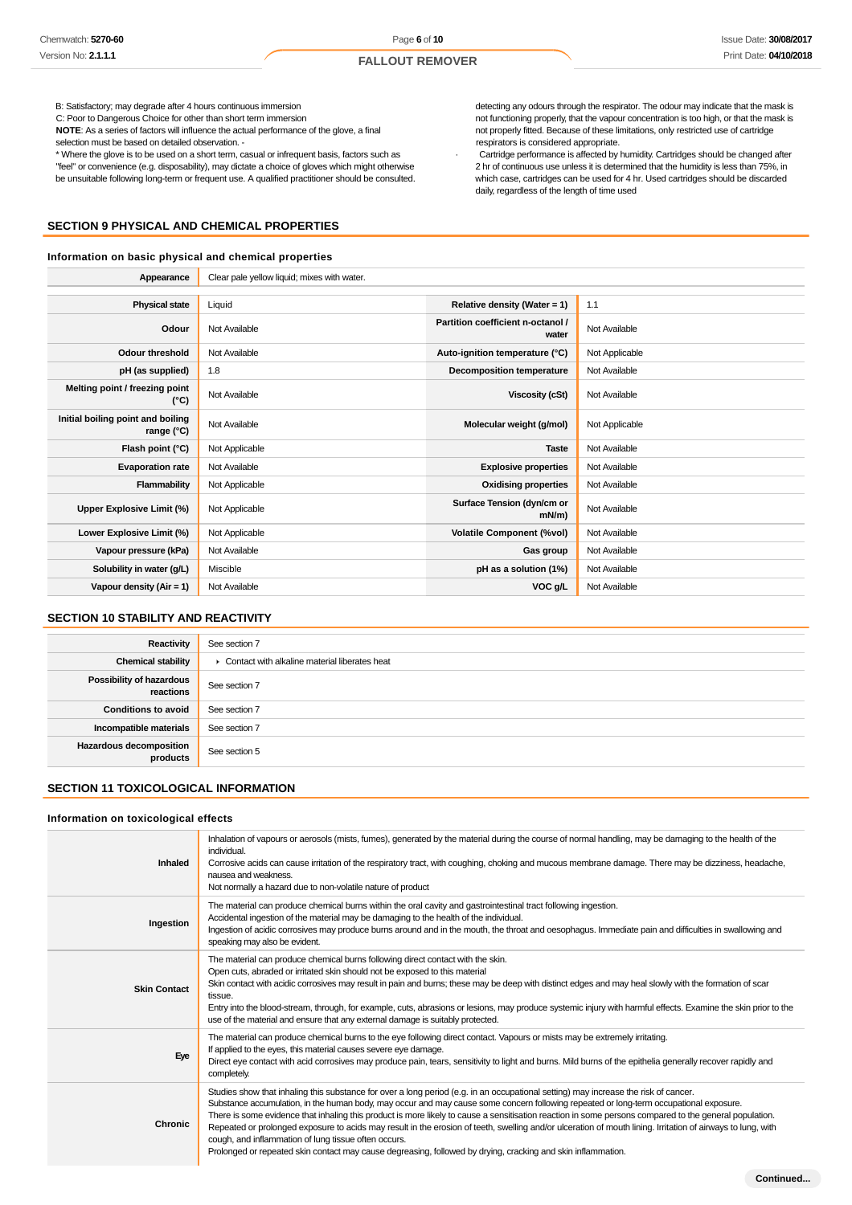B: Satisfactory; may degrade after 4 hours continuous immersion

C: Poor to Dangerous Choice for other than short term immersion

**NOTE**: As a series of factors will influence the actual performance of the glove, a final

selection must be based on detailed observation. -

\* Where the glove is to be used on a short term, casual or infrequent basis, factors such as "feel" or convenience (e.g. disposability), may dictate a choice of gloves which might otherwise be unsuitable following long-term or frequent use. A qualified practitioner should be consulted.

# **SECTION 9 PHYSICAL AND CHEMICAL PROPERTIES**

### **Information on basic physical and chemical properties**

detecting any odours through the respirator. The odour may indicate that the mask is not functioning properly, that the vapour concentration is too high, or that the mask is not properly fitted. Because of these limitations, only restricted use of cartridge respirators is considered appropriate.

· Cartridge performance is affected by humidity. Cartridges should be changed after 2 hr of continuous use unless it is determined that the humidity is less than 75%, in which case, cartridges can be used for 4 hr. Used cartridges should be discarded daily, regardless of the length of time used

| Appearance                                      | Clear pale yellow liquid; mixes with water. |                                            |                |
|-------------------------------------------------|---------------------------------------------|--------------------------------------------|----------------|
|                                                 |                                             |                                            |                |
| <b>Physical state</b>                           | Liquid                                      | Relative density (Water = 1)               | 1.1            |
| Odour                                           | Not Available                               | Partition coefficient n-octanol /<br>water | Not Available  |
| <b>Odour threshold</b>                          | Not Available                               | Auto-ignition temperature (°C)             | Not Applicable |
| pH (as supplied)                                | 1.8                                         | Decomposition temperature                  | Not Available  |
| Melting point / freezing point<br>(°C)          | Not Available                               | Viscosity (cSt)                            | Not Available  |
| Initial boiling point and boiling<br>range (°C) | Not Available                               | Molecular weight (g/mol)                   | Not Applicable |
| Flash point (°C)                                | Not Applicable                              | <b>Taste</b>                               | Not Available  |
| <b>Evaporation rate</b>                         | Not Available                               | <b>Explosive properties</b>                | Not Available  |
| Flammability                                    | Not Applicable                              | <b>Oxidising properties</b>                | Not Available  |
| Upper Explosive Limit (%)                       | Not Applicable                              | Surface Tension (dyn/cm or<br>$mN/m$ )     | Not Available  |
| Lower Explosive Limit (%)                       | Not Applicable                              | <b>Volatile Component (%vol)</b>           | Not Available  |
| Vapour pressure (kPa)                           | Not Available                               | Gas group                                  | Not Available  |
| Solubility in water (g/L)                       | Miscible                                    | pH as a solution (1%)                      | Not Available  |
| Vapour density (Air = 1)                        | Not Available                               | VOC g/L                                    | Not Available  |

# **SECTION 10 STABILITY AND REACTIVITY**

| Reactivity                                 | See section 7                                 |
|--------------------------------------------|-----------------------------------------------|
| <b>Chemical stability</b>                  | Contact with alkaline material liberates heat |
| Possibility of hazardous<br>reactions      | See section 7                                 |
| <b>Conditions to avoid</b>                 | See section 7                                 |
| Incompatible materials                     | See section 7                                 |
| <b>Hazardous decomposition</b><br>products | See section 5                                 |

# **SECTION 11 TOXICOLOGICAL INFORMATION**

#### **Information on toxicological effects**

| <b>Inhaled</b>      | Inhalation of vapours or aerosols (mists, fumes), generated by the material during the course of normal handling, may be damaging to the health of the<br>individual.<br>Corrosive acids can cause irritation of the respiratory tract, with coughing, choking and mucous membrane damage. There may be dizziness, headache,<br>nausea and weakness.<br>Not normally a hazard due to non-volatile nature of product                                                                                                                                                                                                                                                                                                                                                            |
|---------------------|--------------------------------------------------------------------------------------------------------------------------------------------------------------------------------------------------------------------------------------------------------------------------------------------------------------------------------------------------------------------------------------------------------------------------------------------------------------------------------------------------------------------------------------------------------------------------------------------------------------------------------------------------------------------------------------------------------------------------------------------------------------------------------|
| Ingestion           | The material can produce chemical burns within the oral cavity and gastrointestinal tract following ingestion.<br>Accidental ingestion of the material may be damaging to the health of the individual.<br>Ingestion of acidic corrosives may produce burns around and in the mouth, the throat and oesophagus. Immediate pain and difficulties in swallowing and<br>speaking may also be evident.                                                                                                                                                                                                                                                                                                                                                                             |
| <b>Skin Contact</b> | The material can produce chemical burns following direct contact with the skin.<br>Open cuts, abraded or irritated skin should not be exposed to this material<br>Skin contact with acidic corrosives may result in pain and burns; these may be deep with distinct edges and may heal slowly with the formation of scar<br>tissue.<br>Entry into the blood-stream, through, for example, cuts, abrasions or lesions, may produce systemic injury with harmful effects. Examine the skin prior to the<br>use of the material and ensure that any external damage is suitably protected.                                                                                                                                                                                        |
| Eye                 | The material can produce chemical burns to the eye following direct contact. Vapours or mists may be extremely irritating.<br>If applied to the eyes, this material causes severe eye damage.<br>Direct eye contact with acid corrosives may produce pain, tears, sensitivity to light and burns. Mild burns of the epithelia generally recover rapidly and<br>completely.                                                                                                                                                                                                                                                                                                                                                                                                     |
| <b>Chronic</b>      | Studies show that inhaling this substance for over a long period (e.g. in an occupational setting) may increase the risk of cancer.<br>Substance accumulation, in the human body, may occur and may cause some concern following repeated or long-term occupational exposure.<br>There is some evidence that inhaling this product is more likely to cause a sensitisation reaction in some persons compared to the general population.<br>Repeated or prolonged exposure to acids may result in the erosion of teeth, swelling and/or ulceration of mouth lining. Irritation of airways to lung, with<br>cough, and inflammation of lung tissue often occurs.<br>Prolonged or repeated skin contact may cause degreasing, followed by drying, cracking and skin inflammation. |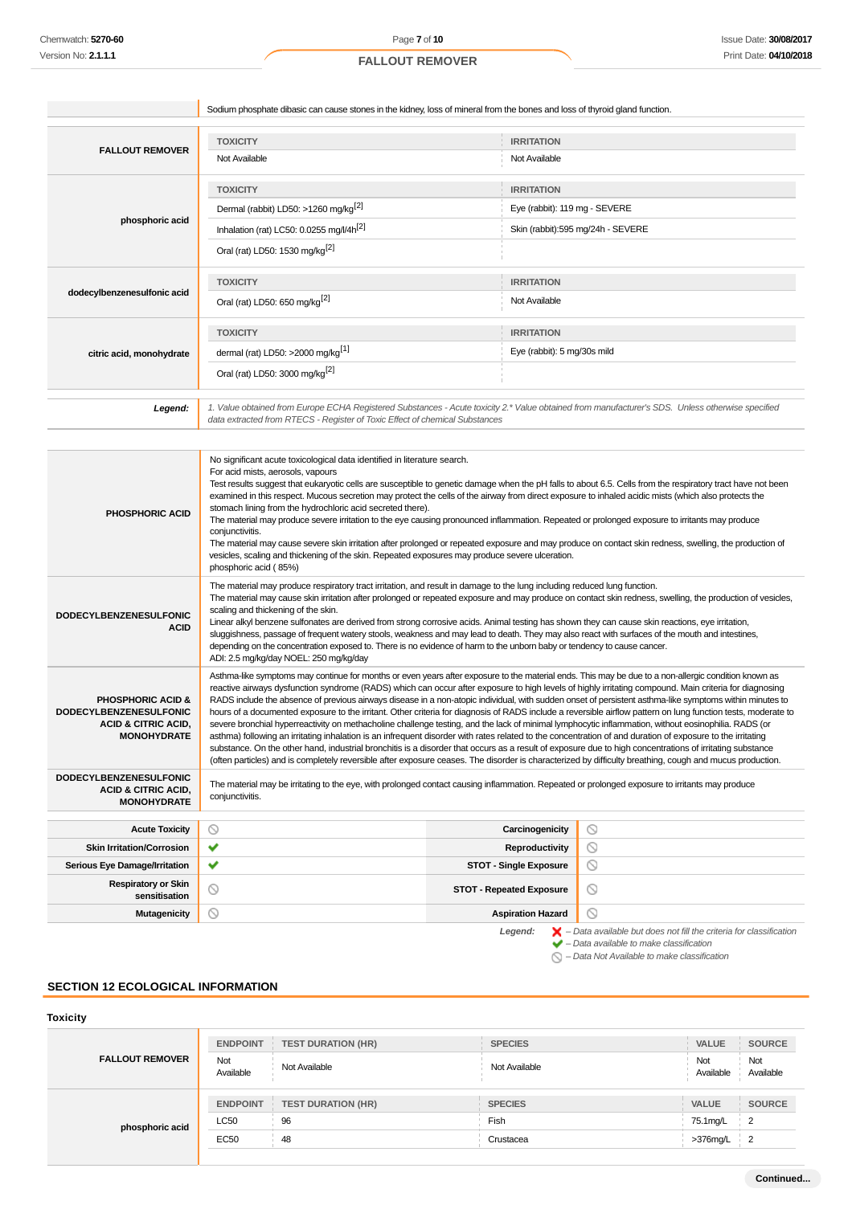|                                                                             |                                                      | Sodium phosphate dibasic can cause stones in the kidney, loss of mineral from the bones and loss of thyroid gland function.                      |  |  |
|-----------------------------------------------------------------------------|------------------------------------------------------|--------------------------------------------------------------------------------------------------------------------------------------------------|--|--|
|                                                                             | <b>TOXICITY</b>                                      |                                                                                                                                                  |  |  |
| <b>FALLOUT REMOVER</b>                                                      | Not Available                                        | <b>IRRITATION</b><br>Not Available                                                                                                               |  |  |
|                                                                             | <b>TOXICITY</b>                                      | <b>IRRITATION</b>                                                                                                                                |  |  |
|                                                                             | Dermal (rabbit) LD50: >1260 mg/kg <sup>[2]</sup>     | Eye (rabbit): 119 mg - SEVERE                                                                                                                    |  |  |
| phosphoric acid                                                             | Inhalation (rat) LC50: 0.0255 mg/l/4h <sup>[2]</sup> | Skin (rabbit):595 mg/24h - SEVERE                                                                                                                |  |  |
|                                                                             | Oral (rat) LD50: 1530 mg/kg <sup>[2]</sup>           |                                                                                                                                                  |  |  |
|                                                                             | <b>TOXICITY</b>                                      | <b>IRRITATION</b>                                                                                                                                |  |  |
| dodecylbenzenesulfonic acid                                                 | Oral (rat) LD50: 650 mg/kg <sup>[2]</sup>            | Not Available                                                                                                                                    |  |  |
|                                                                             | <b>TOXICITY</b>                                      | <b>IRRITATION</b>                                                                                                                                |  |  |
| citric acid, monohydrate                                                    | dermal (rat) LD50: >2000 mg/kg <sup>[1]</sup>        | Eye (rabbit): 5 mg/30s mild                                                                                                                      |  |  |
|                                                                             | Oral (rat) LD50: 3000 mg/kg <sup>[2]</sup>           |                                                                                                                                                  |  |  |
| Legend:                                                                     |                                                      | 1. Value obtained from Europe ECHA Registered Substances - Acute toxicity 2.* Value obtained from manufacturer's SDS. Unless otherwise specified |  |  |
| data extracted from RTECS - Register of Toxic Effect of chemical Substances |                                                      |                                                                                                                                                  |  |  |

| <b>PHOSPHORIC ACID</b>                                                                                                | No significant acute toxicological data identified in literature search.<br>For acid mists, aerosols, vapours<br>Test results suggest that eukaryotic cells are susceptible to genetic damage when the pH falls to about 6.5. Cells from the respiratory tract have not been<br>examined in this respect. Mucous secretion may protect the cells of the airway from direct exposure to inhaled acidic mists (which also protects the<br>stomach lining from the hydrochloric acid secreted there).<br>The material may produce severe irritation to the eye causing pronounced inflammation. Repeated or prolonged exposure to irritants may produce<br>conjunctivitis.<br>The material may cause severe skin irritation after prolonged or repeated exposure and may produce on contact skin redness, swelling, the production of<br>vesicles, scaling and thickening of the skin. Repeated exposures may produce severe ulceration.<br>phosphoric acid (85%)                                                                                                                                                                                                                                                                                                                           |                                                                                                                                                           |  |  |  |  |
|-----------------------------------------------------------------------------------------------------------------------|------------------------------------------------------------------------------------------------------------------------------------------------------------------------------------------------------------------------------------------------------------------------------------------------------------------------------------------------------------------------------------------------------------------------------------------------------------------------------------------------------------------------------------------------------------------------------------------------------------------------------------------------------------------------------------------------------------------------------------------------------------------------------------------------------------------------------------------------------------------------------------------------------------------------------------------------------------------------------------------------------------------------------------------------------------------------------------------------------------------------------------------------------------------------------------------------------------------------------------------------------------------------------------------|-----------------------------------------------------------------------------------------------------------------------------------------------------------|--|--|--|--|
| <b>DODECYLBENZENESULFONIC</b><br><b>ACID</b>                                                                          | The material may produce respiratory tract irritation, and result in damage to the lung including reduced lung function.<br>The material may cause skin irritation after prolonged or repeated exposure and may produce on contact skin redness, swelling, the production of vesicles,<br>scaling and thickening of the skin.<br>Linear alkyl benzene sulfonates are derived from strong corrosive acids. Animal testing has shown they can cause skin reactions, eye irritation,<br>sluggishness, passage of frequent watery stools, weakness and may lead to death. They may also react with surfaces of the mouth and intestines,<br>depending on the concentration exposed to. There is no evidence of harm to the unborn baby or tendency to cause cancer.<br>ADI: 2.5 mg/kg/day NOEL: 250 mg/kg/day                                                                                                                                                                                                                                                                                                                                                                                                                                                                                |                                                                                                                                                           |  |  |  |  |
| <b>PHOSPHORIC ACID &amp;</b><br><b>DODECYLBENZENESULFONIC</b><br><b>ACID &amp; CITRIC ACID,</b><br><b>MONOHYDRATE</b> | Asthma-like symptoms may continue for months or even years after exposure to the material ends. This may be due to a non-allergic condition known as<br>reactive airways dysfunction syndrome (RADS) which can occur after exposure to high levels of highly irritating compound. Main criteria for diagnosing<br>RADS include the absence of previous airways disease in a non-atopic individual, with sudden onset of persistent asthma-like symptoms within minutes to<br>hours of a documented exposure to the irritant. Other criteria for diagnosis of RADS include a reversible airflow pattern on lung function tests, moderate to<br>severe bronchial hyperreactivity on methacholine challenge testing, and the lack of minimal lymphocytic inflammation, without eosinophilia. RADS (or<br>asthma) following an irritating inhalation is an infrequent disorder with rates related to the concentration of and duration of exposure to the irritating<br>substance. On the other hand, industrial bronchitis is a disorder that occurs as a result of exposure due to high concentrations of irritating substance<br>(often particles) and is completely reversible after exposure ceases. The disorder is characterized by difficulty breathing, cough and mucus production. |                                                                                                                                                           |  |  |  |  |
| <b>DODECYLBENZENESULFONIC</b><br><b>ACID &amp; CITRIC ACID,</b><br><b>MONOHYDRATE</b>                                 | The material may be irritating to the eye, with prolonged contact causing inflammation. Repeated or prolonged exposure to irritants may produce<br>conjunctivitis.                                                                                                                                                                                                                                                                                                                                                                                                                                                                                                                                                                                                                                                                                                                                                                                                                                                                                                                                                                                                                                                                                                                       |                                                                                                                                                           |  |  |  |  |
| <b>Acute Toxicity</b>                                                                                                 | ◎<br>Carcinogenicity                                                                                                                                                                                                                                                                                                                                                                                                                                                                                                                                                                                                                                                                                                                                                                                                                                                                                                                                                                                                                                                                                                                                                                                                                                                                     | $\circ$                                                                                                                                                   |  |  |  |  |
| <b>Skin Irritation/Corrosion</b>                                                                                      | ✓<br>Reproductivity                                                                                                                                                                                                                                                                                                                                                                                                                                                                                                                                                                                                                                                                                                                                                                                                                                                                                                                                                                                                                                                                                                                                                                                                                                                                      | $\circledcirc$                                                                                                                                            |  |  |  |  |
| <b>Serious Eye Damage/Irritation</b>                                                                                  | ✓<br><b>STOT - Single Exposure</b>                                                                                                                                                                                                                                                                                                                                                                                                                                                                                                                                                                                                                                                                                                                                                                                                                                                                                                                                                                                                                                                                                                                                                                                                                                                       | $\circledcirc$                                                                                                                                            |  |  |  |  |
| <b>Respiratory or Skin</b><br>sensitisation                                                                           | $\circledcirc$<br><b>STOT - Repeated Exposure</b>                                                                                                                                                                                                                                                                                                                                                                                                                                                                                                                                                                                                                                                                                                                                                                                                                                                                                                                                                                                                                                                                                                                                                                                                                                        | $\circ$                                                                                                                                                   |  |  |  |  |
| <b>Mutagenicity</b>                                                                                                   | ⊚<br><b>Aspiration Hazard</b>                                                                                                                                                                                                                                                                                                                                                                                                                                                                                                                                                                                                                                                                                                                                                                                                                                                                                                                                                                                                                                                                                                                                                                                                                                                            | $\odot$                                                                                                                                                   |  |  |  |  |
|                                                                                                                       | Legend:                                                                                                                                                                                                                                                                                                                                                                                                                                                                                                                                                                                                                                                                                                                                                                                                                                                                                                                                                                                                                                                                                                                                                                                                                                                                                  | $\blacktriangleright$ - Data available but does not fill the criteria for classification<br>$\blacktriangleright$ - Data available to make classification |  |  |  |  |

– Data Not Available to make classification

# **SECTION 12 ECOLOGICAL INFORMATION**

# **Toxicity**

| <b>FALLOUT REMOVER</b> | <b>ENDPOINT</b>  | <b>TEST DURATION (HR)</b> | <b>SPECIES</b> | <b>VALUE</b>     | <b>SOURCE</b>    |
|------------------------|------------------|---------------------------|----------------|------------------|------------------|
|                        | Not<br>Available | Not Available             | Not Available  | Not<br>Available | Not<br>Available |
| phosphoric acid        | <b>ENDPOINT</b>  | <b>TEST DURATION (HR)</b> | <b>SPECIES</b> | VALUE            | <b>SOURCE</b>    |
|                        | <b>LC50</b>      | 96                        | Fish           | 75.1mg/L         | $\overline{2}$   |
|                        | EC50             | 48                        | Crustacea      | $>376$ mg/L      | $\overline{2}$   |
|                        |                  |                           |                |                  |                  |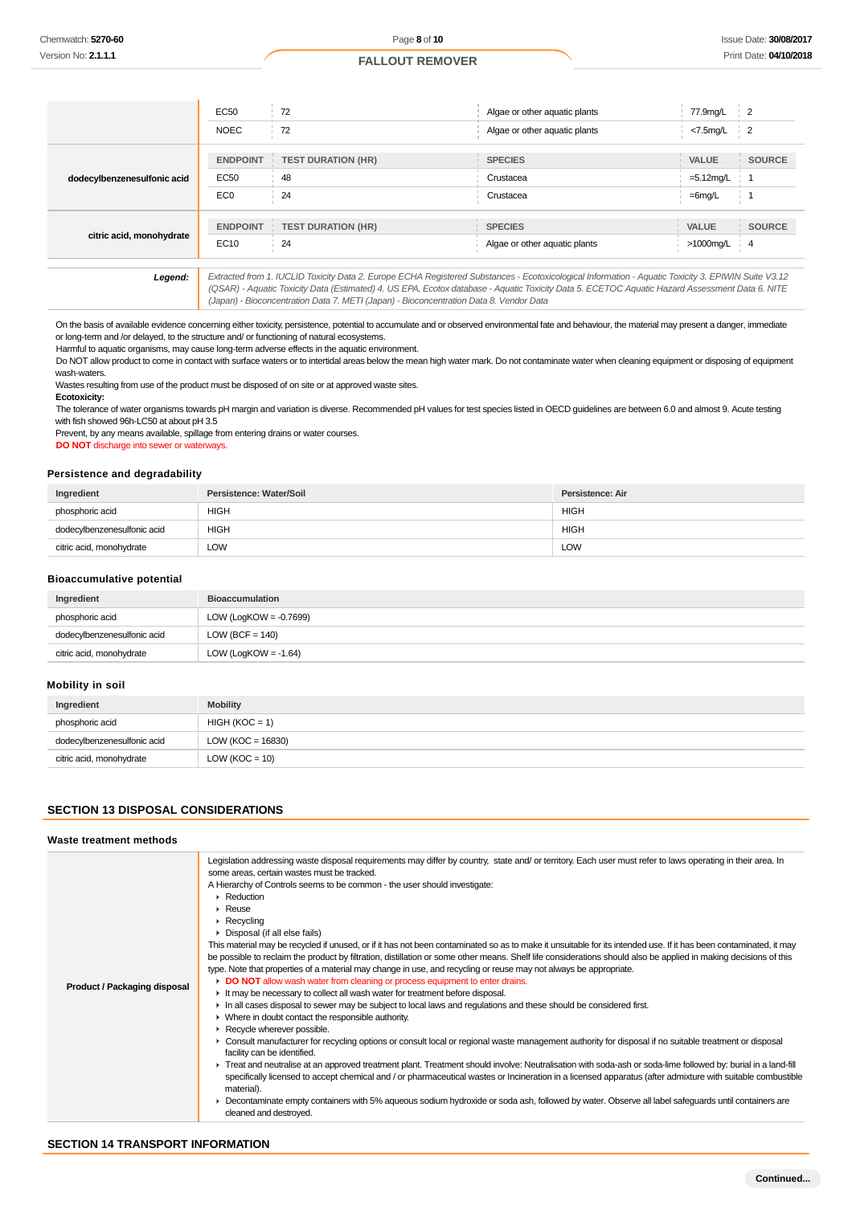|                             | EC50            | 72                                                                                                                                                                    | Algae or other aquatic plants | 77.9mg/L     |                |
|-----------------------------|-----------------|-----------------------------------------------------------------------------------------------------------------------------------------------------------------------|-------------------------------|--------------|----------------|
|                             | <b>NOEC</b>     | 72                                                                                                                                                                    | Algae or other aquatic plants | $<$ 7.5mg/L  | $\overline{2}$ |
|                             |                 |                                                                                                                                                                       |                               |              |                |
|                             | <b>ENDPOINT</b> | <b>TEST DURATION (HR)</b>                                                                                                                                             | <b>SPECIES</b>                | <b>VALUE</b> | <b>SOURCE</b>  |
| dodecylbenzenesulfonic acid | EC50            | 48                                                                                                                                                                    | Crustacea                     | $=5.12$ mg/L |                |
|                             | EC <sub>0</sub> | 24                                                                                                                                                                    | Crustacea                     | $=6$ mg/L    |                |
|                             |                 |                                                                                                                                                                       |                               |              |                |
| citric acid, monohydrate    |                 | <b>ENDPOINT : TEST DURATION (HR)</b>                                                                                                                                  | <b>SPECIES</b>                | <b>VALUE</b> | <b>SOURCE</b>  |
|                             | EC10            | 24                                                                                                                                                                    | Algae or other aquatic plants | >1000mg/L    | $\overline{4}$ |
|                             |                 |                                                                                                                                                                       |                               |              |                |
| Legend:                     |                 | Extracted from 1. IUCLID Toxicity Data 2. Europe ECHA Registered Substances - Ecotoxicological Information - Aquatic Toxicity 3. EPIWIN Suite V3.12<br>$\overline{a}$ |                               |              |                |

(QSAR) - Aquatic Toxicity Data (Estimated) 4. US EPA, Ecotox database - Aquatic Toxicity Data 5. ECETOC Aquatic Hazard Assessment Data 6. NITE (Japan) - Bioconcentration Data 7. METI (Japan) - Bioconcentration Data 8. Vendor Data

On the basis of available evidence concerning either toxicity, persistence, potential to accumulate and or observed environmental fate and behaviour, the material may present a danger, immediate or long-term and /or delayed, to the structure and/ or functioning of natural ecosystems.

Harmful to aquatic organisms, may cause long-term adverse effects in the aquatic environment.

Do NOT allow product to come in contact with surface waters or to intertidal areas below the mean high water mark. Do not contaminate water when cleaning equipment or disposing of equipment wash-waters.

Wastes resulting from use of the product must be disposed of on site or at approved waste sites.

**Ecotoxicity:**

The tolerance of water organisms towards pH margin and variation is diverse. Recommended pH values for test species listed in OECD guidelines are between 6.0 and almost 9. Acute testing with fish showed 96h-LC50 at about pH 3.5

Prevent, by any means available, spillage from entering drains or water courses.

**DO NOT** discharge into sewer or waterways.

#### **Persistence and degradability**

| Ingredient                  | Persistence: Water/Soil | Persistence: Air |
|-----------------------------|-------------------------|------------------|
| phosphoric acid             | <b>HIGH</b>             | <b>HIGH</b>      |
| dodecylbenzenesulfonic acid | <b>HIGH</b>             | <b>HIGH</b>      |
| citric acid, monohydrate    | LOW                     | <b>LOW</b>       |

#### **Bioaccumulative potential**

| Ingredient                  | <b>Bioaccumulation</b>    |
|-----------------------------|---------------------------|
| phosphoric acid             | LOW (LogKOW = $-0.7699$ ) |
| dodecylbenzenesulfonic acid | LOW (BCF = $140$ )        |
| citric acid, monohydrate    | LOW (LogKOW = -1.64)      |

#### **Mobility in soil**

| Ingredient                  | <b>Mobility</b>       |
|-----------------------------|-----------------------|
| phosphoric acid             | $HIGH (KOC = 1)$      |
| dodecylbenzenesulfonic acid | LOW ( $KOC = 16830$ ) |
| citric acid, monohydrate    | LOW ( $KOC = 10$ )    |

#### **SECTION 13 DISPOSAL CONSIDERATIONS**

### **Waste treatment methods**

| <b>Product / Packaging disposal</b> | Legislation addressing waste disposal requirements may differ by country, state and/ or territory. Each user must refer to laws operating in their area. In<br>some areas, certain wastes must be tracked.<br>A Hierarchy of Controls seems to be common - the user should investigate:<br>$\blacktriangleright$ Reduction<br>$\triangleright$ Reuse<br>$\triangleright$ Recycling<br>Disposal (if all else fails)<br>This material may be recycled if unused, or if it has not been contaminated so as to make it unsuitable for its intended use. If it has been contaminated, it may<br>be possible to reclaim the product by filtration, distillation or some other means. Shelf life considerations should also be applied in making decisions of this<br>type. Note that properties of a material may change in use, and recycling or reuse may not always be appropriate.<br>DO NOT allow wash water from cleaning or process equipment to enter drains.<br>It may be necessary to collect all wash water for treatment before disposal.<br>In all cases disposal to sewer may be subject to local laws and regulations and these should be considered first.<br>• Where in doubt contact the responsible authority.<br>Recycle wherever possible.<br>► Consult manufacturer for recycling options or consult local or regional waste management authority for disposal if no suitable treatment or disposal<br>facility can be identified.<br>F Treat and neutralise at an approved treatment plant. Treatment should involve: Neutralisation with soda-ash or soda-lime followed by: burial in a land-fill<br>specifically licensed to accept chemical and / or pharmaceutical wastes or Incineration in a licensed apparatus (after admixture with suitable combustible<br>material).<br>Decontaminate empty containers with 5% aqueous sodium hydroxide or soda ash, followed by water. Observe all label safeguards until containers are<br>cleaned and destroyed. |
|-------------------------------------|--------------------------------------------------------------------------------------------------------------------------------------------------------------------------------------------------------------------------------------------------------------------------------------------------------------------------------------------------------------------------------------------------------------------------------------------------------------------------------------------------------------------------------------------------------------------------------------------------------------------------------------------------------------------------------------------------------------------------------------------------------------------------------------------------------------------------------------------------------------------------------------------------------------------------------------------------------------------------------------------------------------------------------------------------------------------------------------------------------------------------------------------------------------------------------------------------------------------------------------------------------------------------------------------------------------------------------------------------------------------------------------------------------------------------------------------------------------------------------------------------------------------------------------------------------------------------------------------------------------------------------------------------------------------------------------------------------------------------------------------------------------------------------------------------------------------------------------------------------------------------------------------------------------------------------------------------------------------------------|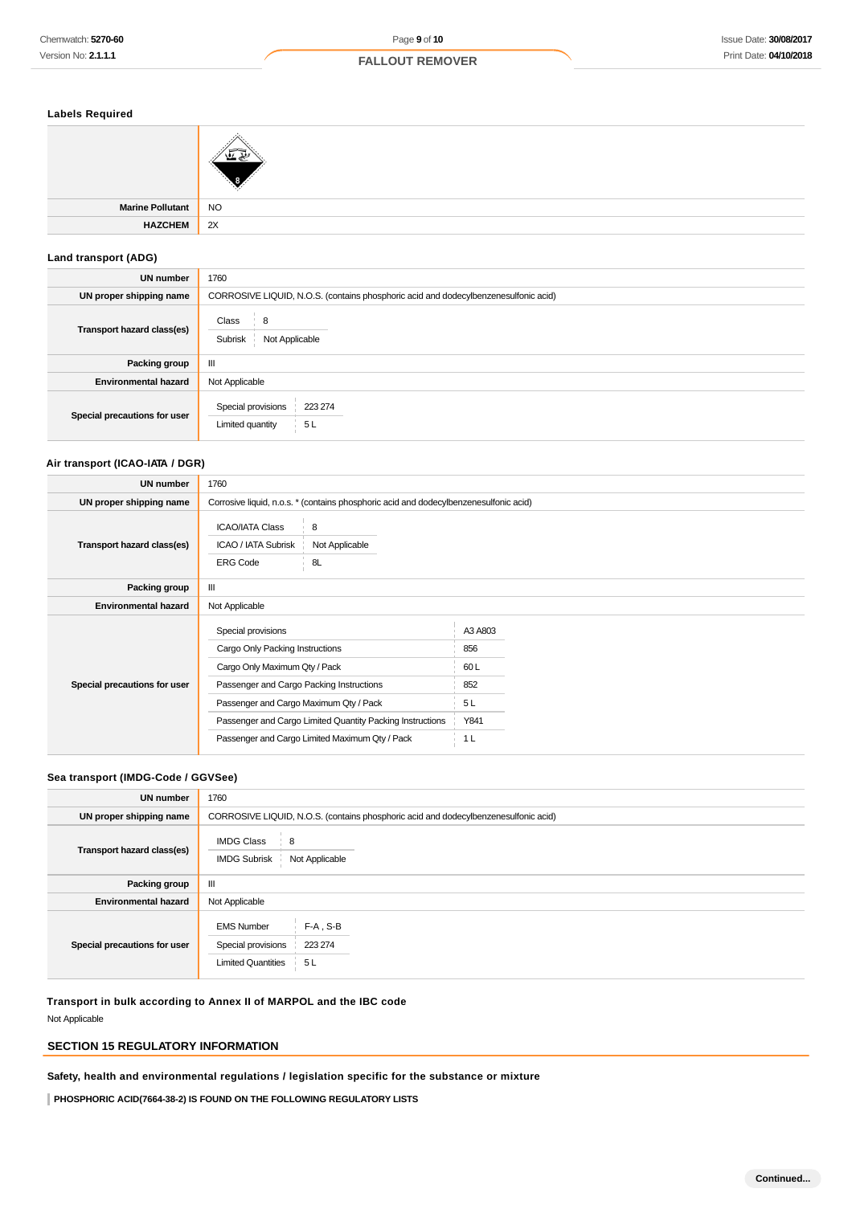# **Labels Required**

| . .                 |                |
|---------------------|----------------|
|                     |                |
| Marine Pollutant NO |                |
| <b>HAZCHEM</b>      | $\parallel$ 2X |
|                     |                |

# **Land transport (ADG)**

| <b>UN number</b>             | 1760                                                                                |  |  |
|------------------------------|-------------------------------------------------------------------------------------|--|--|
| UN proper shipping name      | CORROSIVE LIQUID, N.O.S. (contains phosphoric acid and dodecylbenzenesulfonic acid) |  |  |
| Transport hazard class(es)   | Class<br>8<br>Not Applicable<br>Subrisk                                             |  |  |
| Packing group                | Ш                                                                                   |  |  |
| <b>Environmental hazard</b>  | Not Applicable                                                                      |  |  |
| Special precautions for user | Special provisions<br>223 274<br>5L<br>Limited quantity                             |  |  |

# **Air transport (ICAO-IATA / DGR)**

| Chemwatch: 5270-60                       | Page 9 of 10                                                                                     |                | <b>Issue Date: 30/08/201</b> |
|------------------------------------------|--------------------------------------------------------------------------------------------------|----------------|------------------------------|
| Version No: 2.1.1.1                      | <b>FALLOUT REMOVER</b>                                                                           |                | Print Date: 04/10/20         |
|                                          |                                                                                                  |                |                              |
|                                          |                                                                                                  |                |                              |
| <b>Labels Required</b>                   |                                                                                                  |                |                              |
|                                          |                                                                                                  |                |                              |
|                                          |                                                                                                  |                |                              |
|                                          |                                                                                                  |                |                              |
|                                          |                                                                                                  |                |                              |
| <b>Marine Pollutant</b>                  | <b>NO</b>                                                                                        |                |                              |
| <b>HAZCHEM</b>                           | 2X                                                                                               |                |                              |
| Land transport (ADG)                     |                                                                                                  |                |                              |
| UN number                                | 1760                                                                                             |                |                              |
| UN proper shipping name                  | CORROSIVE LIQUID, N.O.S. (contains phosphoric acid and dodecylbenzenesulfonic acid)              |                |                              |
|                                          | 8<br>Class                                                                                       |                |                              |
| Transport hazard class(es)               | Subrisk<br>Not Applicable                                                                        |                |                              |
|                                          |                                                                                                  |                |                              |
| <b>Packing group</b>                     | Ш                                                                                                |                |                              |
| <b>Environmental hazard</b>              | Not Applicable                                                                                   |                |                              |
| Special precautions for user             | Special provisions<br>223 274                                                                    |                |                              |
|                                          | Limited quantity<br>5L                                                                           |                |                              |
|                                          |                                                                                                  |                |                              |
| Air transport (ICAO-IATA / DGR)          |                                                                                                  |                |                              |
| UN number                                | 1760                                                                                             |                |                              |
| UN proper shipping name                  | Corrosive liquid, n.o.s. * (contains phosphoric acid and dodecylbenzenesulfonic acid)            |                |                              |
|                                          | 8<br><b>ICAO/IATA Class</b>                                                                      |                |                              |
| Transport hazard class(es)               | ICAO / IATA Subrisk<br>Not Applicable                                                            |                |                              |
|                                          | <b>ERG Code</b><br>8L                                                                            |                |                              |
| Packing group                            | Ш                                                                                                |                |                              |
| <b>Environmental hazard</b>              | Not Applicable                                                                                   |                |                              |
|                                          | Special provisions                                                                               | A3 A803        |                              |
|                                          | Cargo Only Packing Instructions                                                                  | 856            |                              |
|                                          | Cargo Only Maximum Qty / Pack                                                                    | 60L            |                              |
| Special precautions for user             | Passenger and Cargo Packing Instructions                                                         | 852            |                              |
|                                          | Passenger and Cargo Maximum Qty / Pack                                                           | 5L             |                              |
|                                          | Passenger and Cargo Limited Quantity Packing Instructions                                        | Y841           |                              |
|                                          | Passenger and Cargo Limited Maximum Qty / Pack                                                   | 1 <sub>L</sub> |                              |
|                                          |                                                                                                  |                |                              |
| Sea transport (IMDG-Code / GGVSee)       |                                                                                                  |                |                              |
| <b>UN number</b>                         | 1760                                                                                             |                |                              |
| UN proper shipping name                  | CORROSIVE LIQUID, N.O.S. (contains phosphoric acid and dodecylbenzenesulfonic acid)              |                |                              |
|                                          | <b>IMDG Class</b><br>8                                                                           |                |                              |
| Transport hazard class(es)               | <b>IMDG Subrisk</b><br>Not Applicable                                                            |                |                              |
| Packing group                            | Ш                                                                                                |                |                              |
| <b>Environmental hazard</b>              | Not Applicable                                                                                   |                |                              |
|                                          |                                                                                                  |                |                              |
|                                          | $F-A$ , S-B<br><b>EMS Number</b><br>223 274<br>Special provisions                                |                |                              |
| Special precautions for user             | <b>Limited Quantities</b><br>5 L                                                                 |                |                              |
|                                          |                                                                                                  |                |                              |
|                                          | Transport in bulk according to Annex II of MARPOL and the IBC code                               |                |                              |
| Not Applicable                           |                                                                                                  |                |                              |
|                                          |                                                                                                  |                |                              |
| <b>SECTION 15 REGULATORY INFORMATION</b> |                                                                                                  |                |                              |
|                                          | Safety, health and environmental regulations / legislation specific for the substance or mixture |                |                              |
|                                          | PHOSPHORIC ACID(7664-38-2) IS FOUND ON THE FOLLOWING REGULATORY LISTS                            |                |                              |

# **Sea transport (IMDG-Code / GGVSee)**

| <b>UN number</b>             | 1760                                                                                                  |  |  |
|------------------------------|-------------------------------------------------------------------------------------------------------|--|--|
| UN proper shipping name      | CORROSIVE LIQUID, N.O.S. (contains phosphoric acid and dodecylbenzenesulfonic acid)                   |  |  |
| Transport hazard class(es)   | <b>IMDG Class</b><br>8<br>Not Applicable<br><b>IMDG Subrisk</b>                                       |  |  |
| Packing group                | Ш                                                                                                     |  |  |
| <b>Environmental hazard</b>  | Not Applicable                                                                                        |  |  |
| Special precautions for user | $F-A$ , S-B<br><b>EMS Number</b><br>Special provisions<br>223 274<br><b>Limited Quantities</b><br>5 L |  |  |